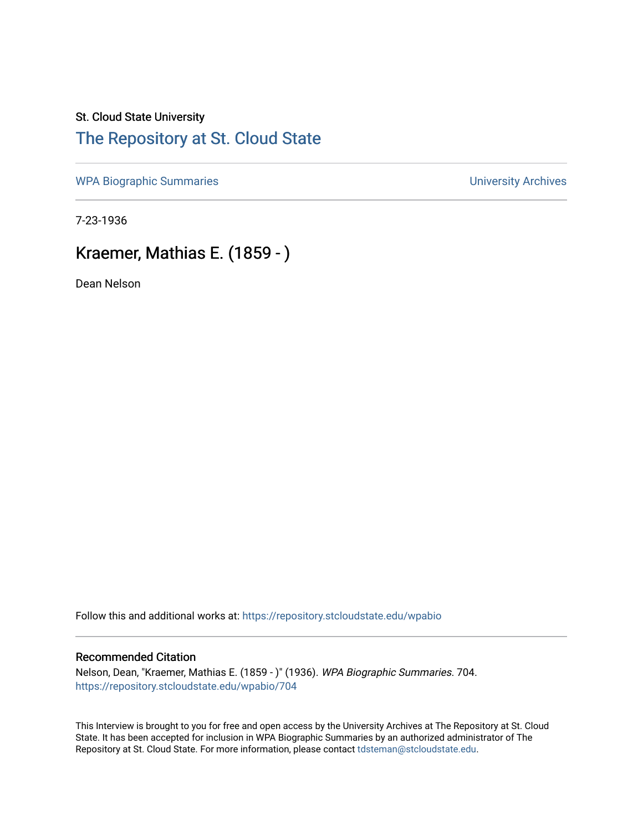## St. Cloud State University [The Repository at St. Cloud State](https://repository.stcloudstate.edu/)

[WPA Biographic Summaries](https://repository.stcloudstate.edu/wpabio) **WPA Biographic Summaries University Archives** 

7-23-1936

# Kraemer, Mathias E. (1859 - )

Dean Nelson

Follow this and additional works at: [https://repository.stcloudstate.edu/wpabio](https://repository.stcloudstate.edu/wpabio?utm_source=repository.stcloudstate.edu%2Fwpabio%2F704&utm_medium=PDF&utm_campaign=PDFCoverPages) 

### Recommended Citation

Nelson, Dean, "Kraemer, Mathias E. (1859 - )" (1936). WPA Biographic Summaries. 704. [https://repository.stcloudstate.edu/wpabio/704](https://repository.stcloudstate.edu/wpabio/704?utm_source=repository.stcloudstate.edu%2Fwpabio%2F704&utm_medium=PDF&utm_campaign=PDFCoverPages) 

This Interview is brought to you for free and open access by the University Archives at The Repository at St. Cloud State. It has been accepted for inclusion in WPA Biographic Summaries by an authorized administrator of The Repository at St. Cloud State. For more information, please contact [tdsteman@stcloudstate.edu.](mailto:tdsteman@stcloudstate.edu)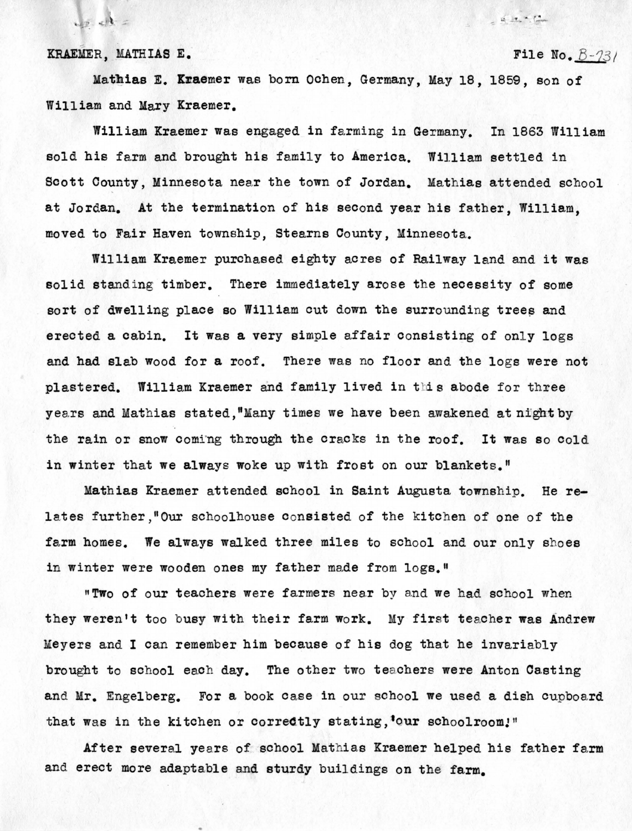KRAEMER. MATHIAS E. **File No. 8-73** 

 $\frac{1}{2}$   $\frac{1}{2}$  =

 $42.12$ 

Mathias E. Kraemer was born Ochen, Germany, May 18, 1859, son of William and Mary Kraemer.

William Kraemer was engaged in farming in Germany. In 1863 William sold his farm and brought his family to America. William settled in Scott Oounty, Minnesota near the town of Jordan. Mathias attended school at Jordan. At the termination of his second year his father, William, moved to Fair Haven township, Stearns County, Minnesota.

William Kraemer purchased eighty acres of Railway land and it was solid standing timber. There immediately arose the necessity of some sort of dwelling place so William cut down the surrounding trees and erected a cabin. It was a very simple affair consisting of only logs and had slab wood for a roof. There was no floor and the logs were not plastered. William Kraemer and family lived in this abode for three years and Mathias stated, "Many times we have been awakened at night by the rain or snow coming through the cracks in the roof. It was so cold in winter that we always woke up with frost on our blankets."

Mathias Kraemer attended school in Saint Augusta township. He relates further, "Our schoolhouse consisted of the kitchen of one of the farm homes. We always wa1ked three miles to school and our only shoes in winter were wooden ones my father made from logs."

**"Two of our teachers were farmers near by and we had school when** they weren't too busy with their farm work. My first teacher was Andrew Meyers and I can remember him because of his dog that he invariably brought to school each day. The other two teachers were Anton Casting and Mr. Engelberg. For a book case in our school we used a dish cupboard that was in the kitchen or correctly stating, **'our** schoolroom!"

After several years of school Mathias Kraemer helped his father farm and erect more adaptable and sturdy buildings on the farm.